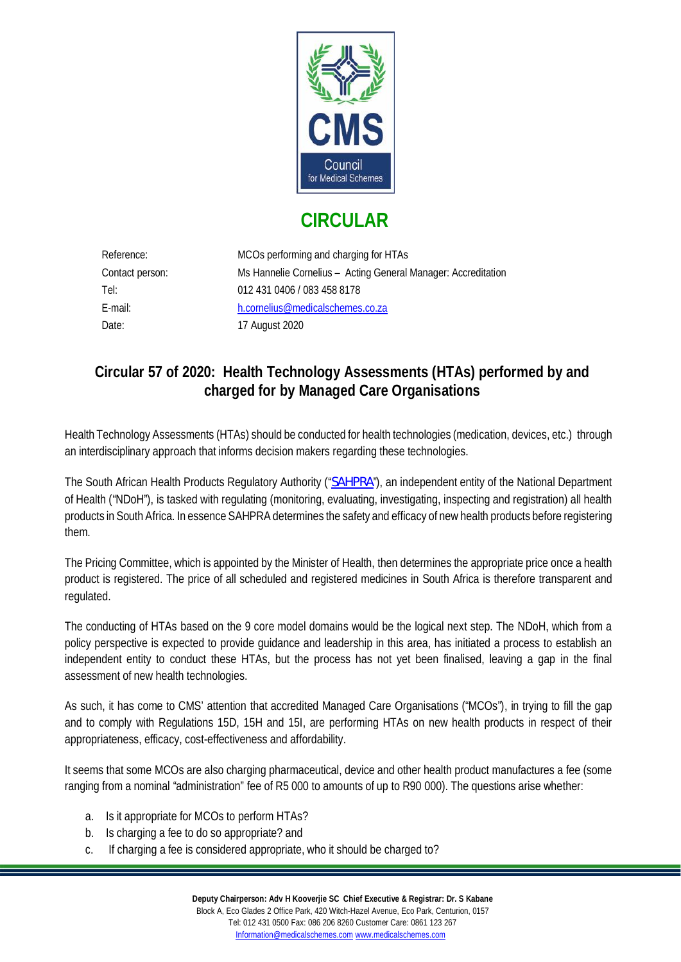

## **CIRCULAR**

| Reference:      | MCOs performing and charging for HTAs                         |
|-----------------|---------------------------------------------------------------|
| Contact person: | Ms Hannelie Cornelius - Acting General Manager: Accreditation |
| Tel:            | 012 431 0406 / 083 458 8178                                   |
| E-mail:         | h.cornelius@medicalschemes.co.za                              |
| Date:           | 17 August 2020                                                |

## **Circular 57 of 2020: Health Technology Assessments (HTAs) performed by and charged for by Managed Care Organisations**

Health Technology Assessments (HTAs) should be conducted for health technologies (medication, devices, etc.) through an interdisciplinary approach that informs decision makers regarding these technologies.

The South African Health Products Regulatory Authority ("[SAHPRA](https://www.sahpra.org.za/)"), an independent entity of the National Department of Health ("NDoH"), is tasked with regulating (monitoring, evaluating, investigating, inspecting and registration) all health products in South Africa. In essence SAHPRA determines the safety and efficacy of new health products before registering them.

The Pricing Committee, which is appointed by the Minister of Health, then determines the appropriate price once a health product is registered. The price of all scheduled and registered medicines in South Africa is therefore transparent and regulated.

The conducting of HTAs based on the 9 core model domains would be the logical next step. The NDoH, which from a policy perspective is expected to provide guidance and leadership in this area, has initiated a process to establish an independent entity to conduct these HTAs, but the process has not yet been finalised, leaving a gap in the final assessment of new health technologies.

As such, it has come to CMS' attention that accredited Managed Care Organisations ("MCOs"), in trying to fill the gap and to comply with Regulations 15D, 15H and 15I, are performing HTAs on new health products in respect of their appropriateness, efficacy, cost-effectiveness and affordability.

It seems that some MCOs are also charging pharmaceutical, device and other health product manufactures a fee (some ranging from a nominal "administration" fee of R5 000 to amounts of up to R90 000). The questions arise whether:

- a. Is it appropriate for MCOs to perform HTAs?
- b. Is charging a fee to do so appropriate? and
- c. If charging a fee is considered appropriate, who it should be charged to?